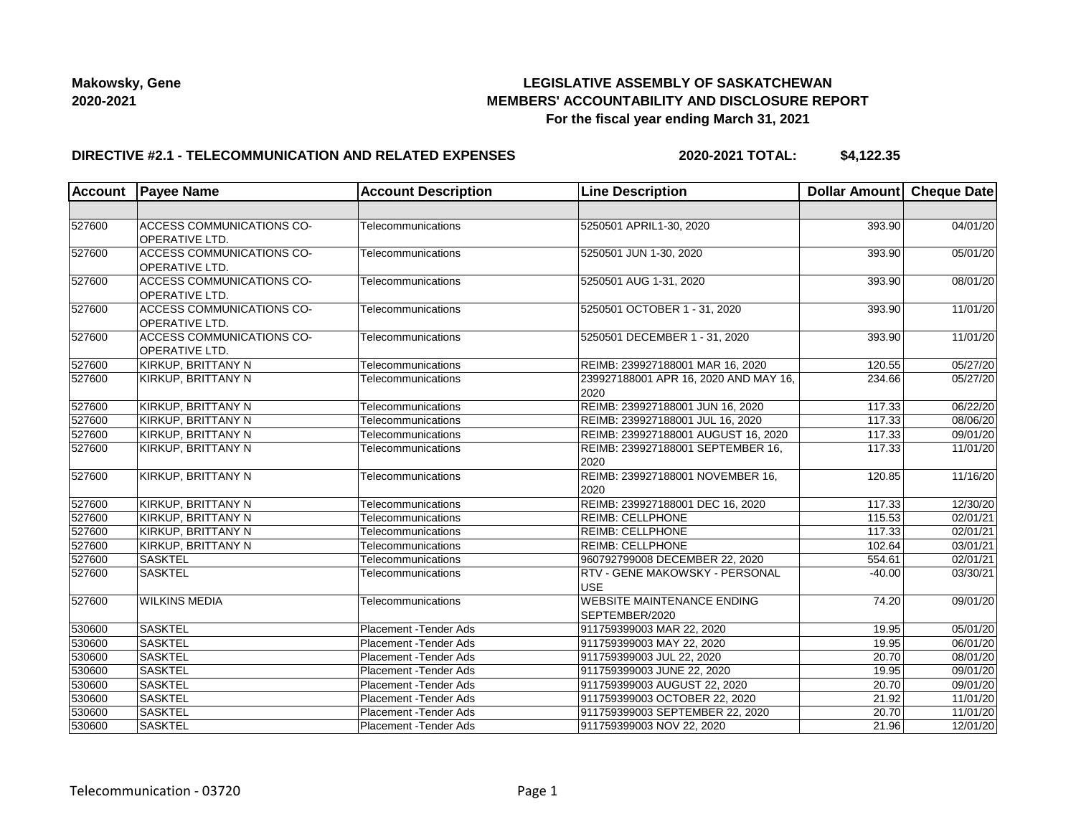## **LEGISLATIVE ASSEMBLY OF SASKATCHEWAN MEMBERS' ACCOUNTABILITY AND DISCLOSURE REPORT For the fiscal year ending March 31, 2021**

### **DIRECTIVE #2.1 - TELECOMMUNICATION AND RELATED EXPENSES**

**2020-2021 TOTAL: \$4,122.35**

| Account | <b>Payee Name</b>                                         | <b>Account Description</b> | <b>Line Description</b>                             | Dollar Amount Cheque Date |          |
|---------|-----------------------------------------------------------|----------------------------|-----------------------------------------------------|---------------------------|----------|
|         |                                                           |                            |                                                     |                           |          |
| 527600  | <b>ACCESS COMMUNICATIONS CO-</b><br><b>OPERATIVE LTD.</b> | Telecommunications         | 5250501 APRIL1-30, 2020                             | 393.90                    | 04/01/20 |
| 527600  | <b>ACCESS COMMUNICATIONS CO-</b><br><b>OPERATIVE LTD.</b> | Telecommunications         | 5250501 JUN 1-30, 2020                              | 393.90                    | 05/01/20 |
| 527600  | <b>ACCESS COMMUNICATIONS CO-</b><br><b>OPERATIVE LTD.</b> | Telecommunications         | 5250501 AUG 1-31, 2020                              | 393.90                    | 08/01/20 |
| 527600  | <b>ACCESS COMMUNICATIONS CO-</b><br><b>OPERATIVE LTD.</b> | Telecommunications         | 5250501 OCTOBER 1 - 31, 2020                        | 393.90                    | 11/01/20 |
| 527600  | <b>ACCESS COMMUNICATIONS CO-</b><br><b>OPERATIVE LTD.</b> | Telecommunications         | 5250501 DECEMBER 1 - 31, 2020                       | 393.90                    | 11/01/20 |
| 527600  | KIRKUP, BRITTANY N                                        | Telecommunications         | REIMB: 239927188001 MAR 16, 2020                    | 120.55                    | 05/27/20 |
| 527600  | KIRKUP, BRITTANY N                                        | Telecommunications         | 239927188001 APR 16, 2020 AND MAY 16,<br>2020       | 234.66                    | 05/27/20 |
| 527600  | KIRKUP, BRITTANY N                                        | Telecommunications         | REIMB: 239927188001 JUN 16, 2020                    | 117.33                    | 06/22/20 |
| 527600  | KIRKUP, BRITTANY N                                        | Telecommunications         | REIMB: 239927188001 JUL 16, 2020                    | 117.33                    | 08/06/20 |
| 527600  | KIRKUP, BRITTANY N                                        | Telecommunications         | REIMB: 239927188001 AUGUST 16, 2020                 | 117.33                    | 09/01/20 |
| 527600  | KIRKUP, BRITTANY N                                        | Telecommunications         | REIMB: 239927188001 SEPTEMBER 16,<br>2020           | 117.33                    | 11/01/20 |
| 527600  | KIRKUP, BRITTANY N                                        | Telecommunications         | REIMB: 239927188001 NOVEMBER 16,<br>2020            | 120.85                    | 11/16/20 |
| 527600  | KIRKUP, BRITTANY N                                        | Telecommunications         | REIMB: 239927188001 DEC 16, 2020                    | 117.33                    | 12/30/20 |
| 527600  | KIRKUP, BRITTANY N                                        | Telecommunications         | <b>REIMB: CELLPHONE</b>                             | 115.53                    | 02/01/21 |
| 527600  | KIRKUP, BRITTANY N                                        | Telecommunications         | <b>REIMB: CELLPHONE</b>                             | 117.33                    | 02/01/21 |
| 527600  | KIRKUP, BRITTANY N                                        | Telecommunications         | <b>REIMB: CELLPHONE</b>                             | 102.64                    | 03/01/21 |
| 527600  | <b>SASKTEL</b>                                            | Telecommunications         | 960792799008 DECEMBER 22, 2020                      | 554.61                    | 02/01/21 |
| 527600  | <b>SASKTEL</b>                                            | Telecommunications         | RTV - GENE MAKOWSKY - PERSONAL<br>USE               | $-40.00$                  | 03/30/21 |
| 527600  | <b>WILKINS MEDIA</b>                                      | Telecommunications         | <b>WEBSITE MAINTENANCE ENDING</b><br>SEPTEMBER/2020 | 74.20                     | 09/01/20 |
| 530600  | <b>SASKTEL</b>                                            | Placement - Tender Ads     | 911759399003 MAR 22, 2020                           | 19.95                     | 05/01/20 |
| 530600  | <b>SASKTEL</b>                                            | Placement - Tender Ads     | 911759399003 MAY 22, 2020                           | 19.95                     | 06/01/20 |
| 530600  | SASKTEL                                                   | Placement - Tender Ads     | 911759399003 JUL 22, 2020                           | 20.70                     | 08/01/20 |
| 530600  | <b>SASKTEL</b>                                            | Placement - Tender Ads     | 911759399003 JUNE 22, 2020                          | 19.95                     | 09/01/20 |
| 530600  | <b>SASKTEL</b>                                            | Placement - Tender Ads     | 911759399003 AUGUST 22, 2020                        | 20.70                     | 09/01/20 |
| 530600  | <b>SASKTEL</b>                                            | Placement - Tender Ads     | 911759399003 OCTOBER 22, 2020                       | 21.92                     | 11/01/20 |
| 530600  | <b>SASKTEL</b>                                            | Placement - Tender Ads     | 911759399003 SEPTEMBER 22, 2020                     | 20.70                     | 11/01/20 |
| 530600  | <b>SASKTEL</b>                                            | Placement - Tender Ads     | 911759399003 NOV 22, 2020                           | 21.96                     | 12/01/20 |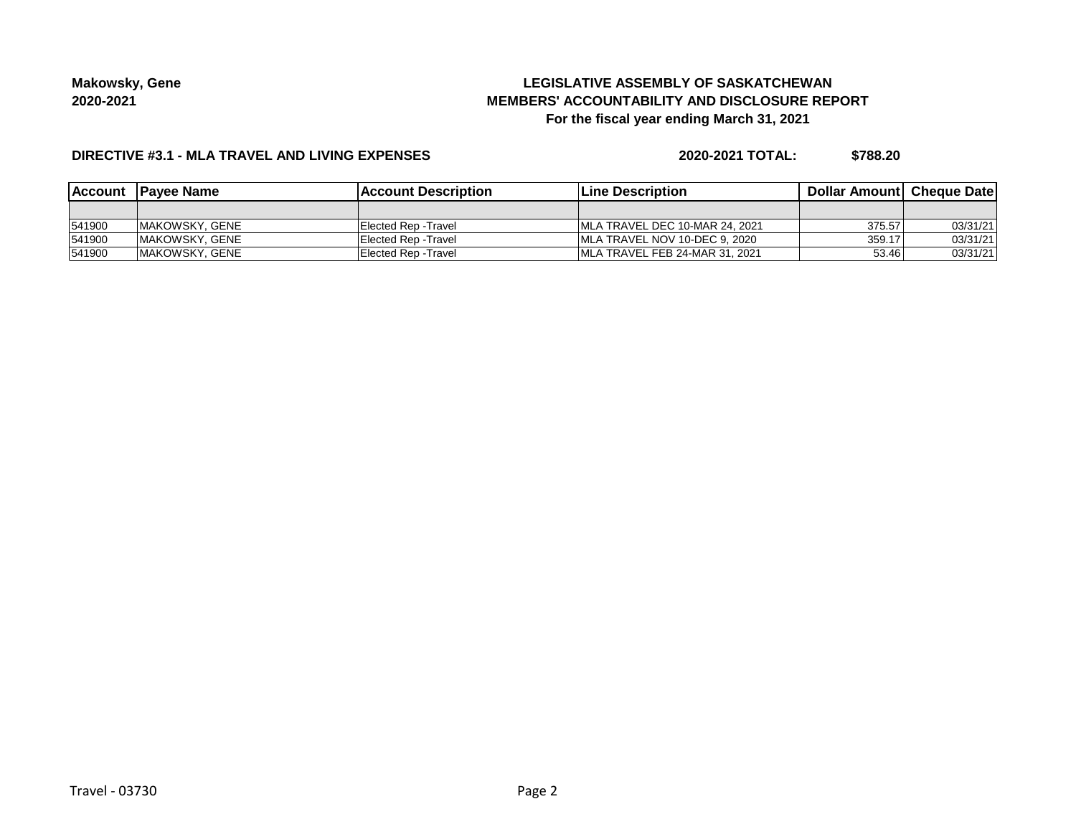# **LEGISLATIVE ASSEMBLY OF SASKATCHEWAN MEMBERS' ACCOUNTABILITY AND DISCLOSURE REPORT For the fiscal year ending March 31, 2021**

#### **DIRECTIVE #3.1 - MLA TRAVEL AND LIVING EXPENSES**

**2020-2021 TOTAL: \$788.20**

|        | Account Payee Name | <b>IAccount Description</b> | <b>Line Description</b>         | <b>Dollar Amountl Cheque Date</b> |          |
|--------|--------------------|-----------------------------|---------------------------------|-----------------------------------|----------|
|        |                    |                             |                                 |                                   |          |
| 541900 | IMAKOWSKY, GENE    | IElected Rep -Travel        | IMLA TRAVEL DEC 10-MAR 24, 2021 | 375.57                            | 03/31/21 |
| 541900 | IMAKOWSKY, GENE    | Elected Rep - Travel        | IMLA TRAVEL NOV 10-DEC 9. 2020  | 359.17                            | 03/31/21 |
| 541900 | IMAKOWSKY, GENE    | IElected Rep -Travel        | IMLA TRAVEL FEB 24-MAR 31, 2021 | 53.46                             | 03/31/21 |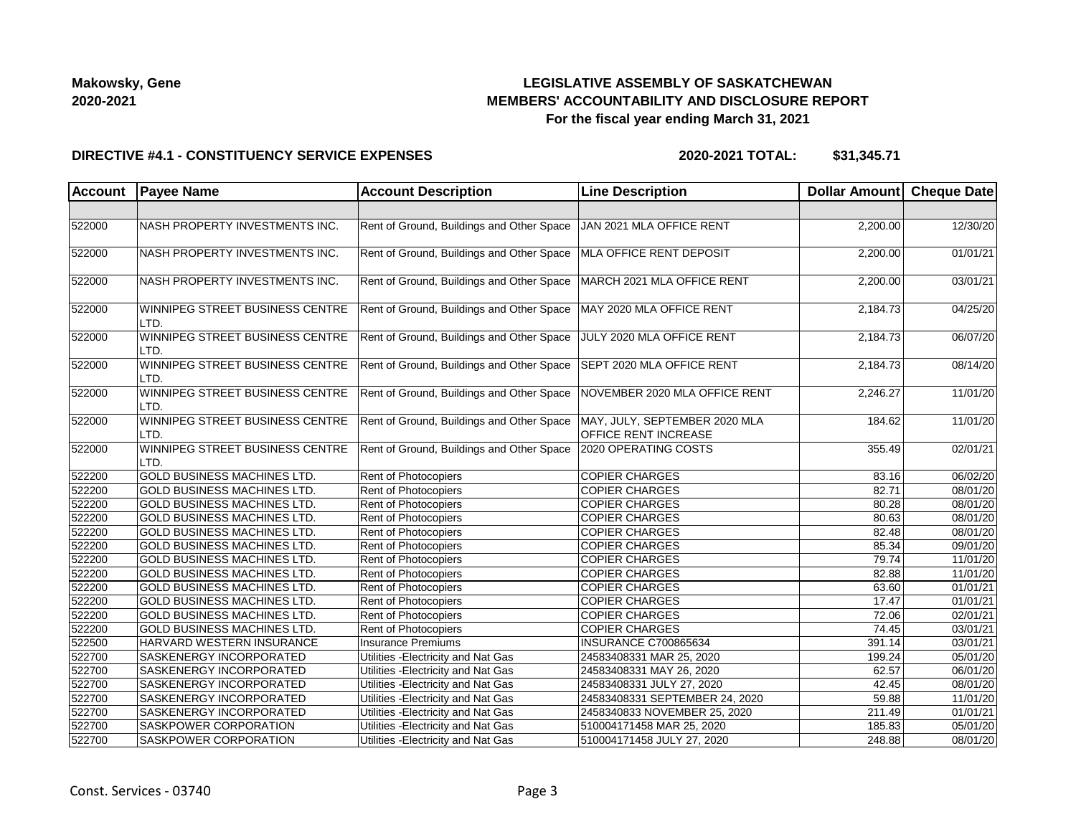## **LEGISLATIVE ASSEMBLY OF SASKATCHEWAN MEMBERS' ACCOUNTABILITY AND DISCLOSURE REPORT For the fiscal year ending March 31, 2021**

#### **DIRECTIVE #4.1 - CONSTITUENCY SERVICE EXPENSES**

**2020-2021 TOTAL: \$31,345.71**

| Account | <b>Payee Name</b>                       | <b>Account Description</b>                | <b>Line Description</b>                                      | Dollar Amount Cheque Date |          |
|---------|-----------------------------------------|-------------------------------------------|--------------------------------------------------------------|---------------------------|----------|
|         |                                         |                                           |                                                              |                           |          |
| 522000  | NASH PROPERTY INVESTMENTS INC.          | Rent of Ground, Buildings and Other Space | JAN 2021 MLA OFFICE RENT                                     | 2,200.00                  | 12/30/20 |
| 522000  | NASH PROPERTY INVESTMENTS INC.          | Rent of Ground, Buildings and Other Space | MLA OFFICE RENT DEPOSIT                                      | 2,200.00                  | 01/01/21 |
| 522000  | NASH PROPERTY INVESTMENTS INC.          | Rent of Ground, Buildings and Other Space | MARCH 2021 MLA OFFICE RENT                                   | 2,200.00                  | 03/01/21 |
| 522000  | WINNIPEG STREET BUSINESS CENTRE<br>LTD. | Rent of Ground, Buildings and Other Space | MAY 2020 MLA OFFICE RENT                                     | 2,184.73                  | 04/25/20 |
| 522000  | WINNIPEG STREET BUSINESS CENTRE<br>LTD. | Rent of Ground, Buildings and Other Space | JULY 2020 MLA OFFICE RENT                                    | 2,184.73                  | 06/07/20 |
| 522000  | WINNIPEG STREET BUSINESS CENTRE<br>LTD. | Rent of Ground, Buildings and Other Space | SEPT 2020 MLA OFFICE RENT                                    | 2,184.73                  | 08/14/20 |
| 522000  | WINNIPEG STREET BUSINESS CENTRE<br>LTD. | Rent of Ground, Buildings and Other Space | NOVEMBER 2020 MLA OFFICE RENT                                | 2,246.27                  | 11/01/20 |
| 522000  | WINNIPEG STREET BUSINESS CENTRE<br>LTD. | Rent of Ground, Buildings and Other Space | MAY, JULY, SEPTEMBER 2020 MLA<br><b>OFFICE RENT INCREASE</b> | 184.62                    | 11/01/20 |
| 522000  | WINNIPEG STREET BUSINESS CENTRE<br>LTD. | Rent of Ground, Buildings and Other Space | 2020 OPERATING COSTS                                         | 355.49                    | 02/01/21 |
| 522200  | <b>GOLD BUSINESS MACHINES LTD.</b>      | Rent of Photocopiers                      | <b>COPIER CHARGES</b>                                        | 83.16                     | 06/02/20 |
| 522200  | <b>GOLD BUSINESS MACHINES LTD.</b>      | Rent of Photocopiers                      | <b>COPIER CHARGES</b>                                        | 82.71                     | 08/01/20 |
| 522200  | <b>GOLD BUSINESS MACHINES LTD.</b>      | Rent of Photocopiers                      | <b>COPIER CHARGES</b>                                        | 80.28                     | 08/01/20 |
| 522200  | <b>GOLD BUSINESS MACHINES LTD.</b>      | Rent of Photocopiers                      | <b>COPIER CHARGES</b>                                        | 80.63                     | 08/01/20 |
| 522200  | <b>GOLD BUSINESS MACHINES LTD.</b>      | Rent of Photocopiers                      | <b>COPIER CHARGES</b>                                        | 82.48                     | 08/01/20 |
| 522200  | <b>GOLD BUSINESS MACHINES LTD.</b>      | Rent of Photocopiers                      | <b>COPIER CHARGES</b>                                        | 85.34                     | 09/01/20 |
| 522200  | <b>GOLD BUSINESS MACHINES LTD.</b>      | Rent of Photocopiers                      | <b>COPIER CHARGES</b>                                        | 79.74                     | 11/01/20 |
| 522200  | <b>GOLD BUSINESS MACHINES LTD.</b>      | Rent of Photocopiers                      | <b>COPIER CHARGES</b>                                        | 82.88                     | 11/01/20 |
| 522200  | <b>GOLD BUSINESS MACHINES LTD.</b>      | Rent of Photocopiers                      | <b>COPIER CHARGES</b>                                        | 63.60                     | 01/01/21 |
| 522200  | <b>GOLD BUSINESS MACHINES LTD.</b>      | Rent of Photocopiers                      | <b>COPIER CHARGES</b>                                        | 17.47                     | 01/01/21 |
| 522200  | <b>GOLD BUSINESS MACHINES LTD.</b>      | <b>Rent of Photocopiers</b>               | <b>COPIER CHARGES</b>                                        | 72.06                     | 02/01/21 |
| 522200  | <b>GOLD BUSINESS MACHINES LTD.</b>      | <b>Rent of Photocopiers</b>               | <b>COPIER CHARGES</b>                                        | 74.45                     | 03/01/21 |
| 522500  | HARVARD WESTERN INSURANCE               | Insurance Premiums                        | INSURANCE C700865634                                         | 391.14                    | 03/01/21 |
| 522700  | <b>SASKENERGY INCORPORATED</b>          | Utilities - Electricity and Nat Gas       | 24583408331 MAR 25, 2020                                     | 199.24                    | 05/01/20 |
| 522700  | <b>SASKENERGY INCORPORATED</b>          | Utilities - Electricity and Nat Gas       | 24583408331 MAY 26, 2020                                     | 62.57                     | 06/01/20 |
| 522700  | <b>SASKENERGY INCORPORATED</b>          | Utilities - Electricity and Nat Gas       | 24583408331 JULY 27, 2020                                    | 42.45                     | 08/01/20 |
| 522700  | <b>SASKENERGY INCORPORATED</b>          | Utilities - Electricity and Nat Gas       | 24583408331 SEPTEMBER 24, 2020                               | 59.88                     | 11/01/20 |
| 522700  | <b>SASKENERGY INCORPORATED</b>          | Utilities - Electricity and Nat Gas       | 2458340833 NOVEMBER 25, 2020                                 | 211.49                    | 01/01/21 |
| 522700  | <b>SASKPOWER CORPORATION</b>            | Utilities - Electricity and Nat Gas       | 510004171458 MAR 25, 2020                                    | 185.83                    | 05/01/20 |
| 522700  | <b>SASKPOWER CORPORATION</b>            | Utilities - Electricity and Nat Gas       | 510004171458 JULY 27, 2020                                   | 248.88                    | 08/01/20 |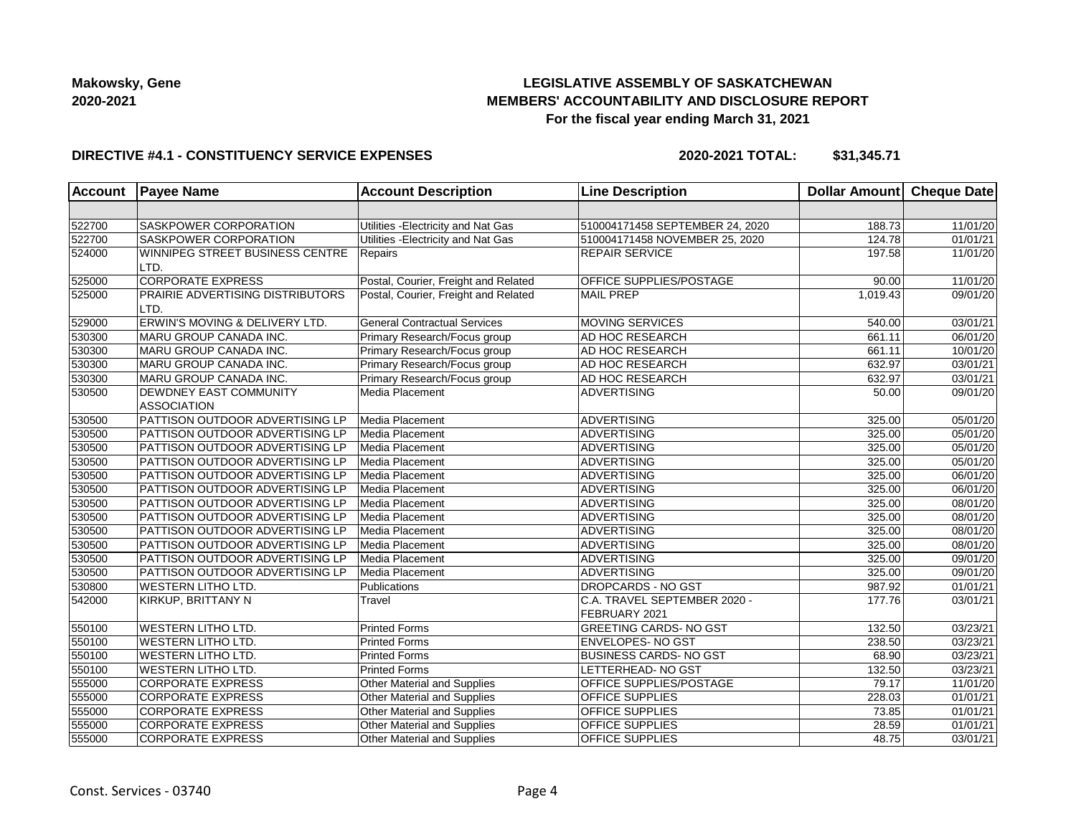## **LEGISLATIVE ASSEMBLY OF SASKATCHEWAN MEMBERS' ACCOUNTABILITY AND DISCLOSURE REPORT For the fiscal year ending March 31, 2021**

### **DIRECTIVE #4.1 - CONSTITUENCY SERVICE EXPENSES**

**2020-2021 TOTAL: \$31,345.71**

| <b>Account</b> | <b>Payee Name</b>                            | <b>Account Description</b>           | <b>Line Description</b>                       | Dollar Amount Cheque Date |                       |
|----------------|----------------------------------------------|--------------------------------------|-----------------------------------------------|---------------------------|-----------------------|
|                |                                              |                                      |                                               |                           |                       |
| 522700         | SASKPOWER CORPORATION                        | Utilities - Electricity and Nat Gas  | 510004171458 SEPTEMBER 24, 2020               | 188.73                    | 11/01/20              |
| 522700         | <b>SASKPOWER CORPORATION</b>                 | Utilities - Electricity and Nat Gas  | 510004171458 NOVEMBER 25, 2020                | 124.78                    | 01/01/21              |
| 524000         | WINNIPEG STREET BUSINESS CENTRE<br>LTD.      | Repairs                              | <b>REPAIR SERVICE</b>                         | 197.58                    | 11/01/20              |
| 525000         | <b>CORPORATE EXPRESS</b>                     | Postal, Courier, Freight and Related | OFFICE SUPPLIES/POSTAGE                       | 90.00                     | 11/01/20              |
| 525000         | PRAIRIE ADVERTISING DISTRIBUTORS<br>LTD.     | Postal, Courier, Freight and Related | <b>MAIL PREP</b>                              | 1,019.43                  | 09/01/20              |
| 529000         | ERWIN'S MOVING & DELIVERY LTD.               | <b>General Contractual Services</b>  | MOVING SERVICES                               | 540.00                    | 03/01/21              |
| 530300         | MARU GROUP CANADA INC.                       | Primary Research/Focus group         | AD HOC RESEARCH                               | 661.11                    | 06/01/20              |
| 530300         | MARU GROUP CANADA INC.                       | Primary Research/Focus group         | AD HOC RESEARCH                               | 661.11                    | 10/01/20              |
| 530300         | MARU GROUP CANADA INC.                       | Primary Research/Focus group         | AD HOC RESEARCH                               | 632.97                    | 03/01/21              |
| 530300         | MARU GROUP CANADA INC.                       | Primary Research/Focus group         | AD HOC RESEARCH                               | 632.97                    | 03/01/21              |
| 530500         | DEWDNEY EAST COMMUNITY<br><b>ASSOCIATION</b> | Media Placement                      | <b>ADVERTISING</b>                            | 50.00                     | 09/01/20              |
| 530500         | PATTISON OUTDOOR ADVERTISING LP              | Media Placement                      | ADVERTISING                                   | 325.00                    | 05/01/20              |
| 530500         | PATTISON OUTDOOR ADVERTISING LP              | Media Placement                      | <b>ADVERTISING</b>                            | 325.00                    | 05/01/20              |
| 530500         | PATTISON OUTDOOR ADVERTISING LP              | Media Placement                      | <b>ADVERTISING</b>                            | 325.00                    | 05/01/20              |
| 530500         | PATTISON OUTDOOR ADVERTISING LP              | Media Placement                      | <b>ADVERTISING</b>                            | 325.00                    | 05/01/20              |
| 530500         | PATTISON OUTDOOR ADVERTISING LP              | Media Placement                      | <b>ADVERTISING</b>                            | 325.00                    | 06/01/20              |
| 530500         | PATTISON OUTDOOR ADVERTISING LP              | Media Placement                      | ADVERTISING                                   | 325.00                    | 06/01/20              |
| 530500         | PATTISON OUTDOOR ADVERTISING LP              | Media Placement                      | ADVERTISING                                   | 325.00                    | 08/01/20              |
| 530500         | <b>PATTISON OUTDOOR ADVERTISING LP</b>       | Media Placement                      | <b>ADVERTISING</b>                            | 325.00                    | 08/01/20              |
| 530500         | PATTISON OUTDOOR ADVERTISING LP              | Media Placement                      | <b>ADVERTISING</b>                            | 325.00                    | 08/01/20              |
| 530500         | PATTISON OUTDOOR ADVERTISING LP              | Media Placement                      | <b>ADVERTISING</b>                            | 325.00                    | 08/01/20              |
| 530500         | PATTISON OUTDOOR ADVERTISING LP              | Media Placement                      | ADVERTISING                                   | 325.00                    | 09/01/20              |
| 530500         | PATTISON OUTDOOR ADVERTISING LP              | Media Placement                      | ADVERTISING                                   | 325.00                    | 09/01/20              |
| 530800         | <b>WESTERN LITHO LTD.</b>                    | Publications                         | <b>DROPCARDS - NO GST</b>                     | 987.92                    | 01/01/21              |
| 542000         | KIRKUP, BRITTANY N                           | Travel                               | C.A. TRAVEL SEPTEMBER 2020 -<br>FEBRUARY 2021 | 177.76                    | 03/01/21              |
| 550100         | <b>WESTERN LITHO LTD.</b>                    | <b>Printed Forms</b>                 | <b>GREETING CARDS- NO GST</b>                 | 132.50                    | 03/23/21              |
| 550100         | <b>WESTERN LITHO LTD.</b>                    | <b>Printed Forms</b>                 | <b>ENVELOPES-NO GST</b>                       | 238.50                    | 03/23/21              |
| 550100         | <b>WESTERN LITHO LTD.</b>                    | <b>Printed Forms</b>                 | <b>BUSINESS CARDS- NO GST</b>                 | 68.90                     | 03/23/21              |
| 550100         | <b>WESTERN LITHO LTD.</b>                    | <b>Printed Forms</b>                 | LETTERHEAD- NO GST                            | 132.50                    | 03/23/21              |
| 555000         | <b>CORPORATE EXPRESS</b>                     | Other Material and Supplies          | OFFICE SUPPLIES/POSTAGE                       | 79.17                     | 11/01/20              |
| 555000         | <b>CORPORATE EXPRESS</b>                     | <b>Other Material and Supplies</b>   | OFFICE SUPPLIES                               | 228.03                    | 01/01/21              |
| 555000         | <b>CORPORATE EXPRESS</b>                     | Other Material and Supplies          | OFFICE SUPPLIES                               | 73.85                     | $\overline{01/0}1/21$ |
| 555000         | <b>CORPORATE EXPRESS</b>                     | Other Material and Supplies          | OFFICE SUPPLIES                               | 28.59                     | 01/01/21              |
| 555000         | <b>CORPORATE EXPRESS</b>                     | Other Material and Supplies          | OFFICE SUPPLIES                               | 48.75                     | 03/01/21              |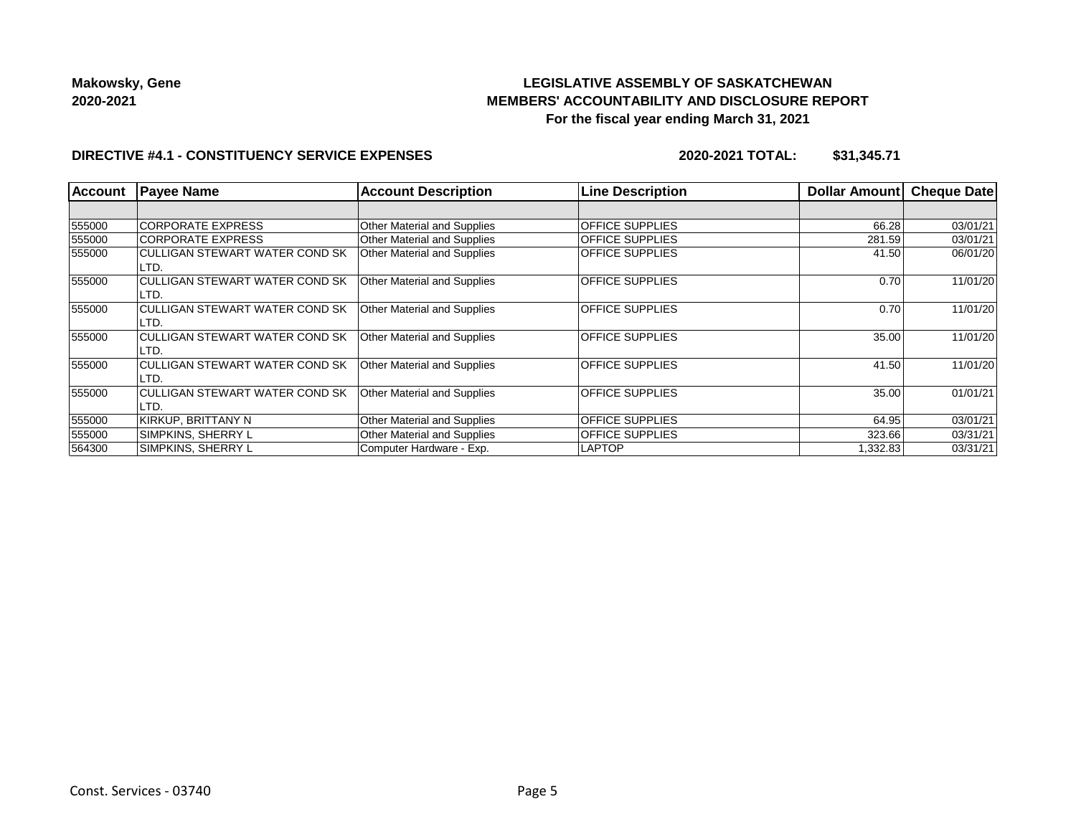## **LEGISLATIVE ASSEMBLY OF SASKATCHEWAN MEMBERS' ACCOUNTABILITY AND DISCLOSURE REPORT For the fiscal year ending March 31, 2021**

### **DIRECTIVE #4.1 - CONSTITUENCY SERVICE EXPENSES**

**2020-2021 TOTAL: \$31,345.71**

| <b>Account</b> | <b>Payee Name</b>                             | <b>Account Description</b>         | <b>Line Description</b> | Dollar Amount | <b>Cheque Date</b> |
|----------------|-----------------------------------------------|------------------------------------|-------------------------|---------------|--------------------|
|                |                                               |                                    |                         |               |                    |
| 555000         | <b>CORPORATE EXPRESS</b>                      | <b>Other Material and Supplies</b> | <b>OFFICE SUPPLIES</b>  | 66.28         | 03/01/21           |
| 555000         | <b>CORPORATE EXPRESS</b>                      | <b>Other Material and Supplies</b> | <b>OFFICE SUPPLIES</b>  | 281.59        | 03/01/21           |
| 555000         | CULLIGAN STEWART WATER COND SK<br>LTD.        | Other Material and Supplies        | <b>OFFICE SUPPLIES</b>  | 41.50         | 06/01/20           |
| 555000         | <b>CULLIGAN STEWART WATER COND SK</b><br>LTD. | <b>Other Material and Supplies</b> | <b>OFFICE SUPPLIES</b>  | 0.70          | 11/01/20           |
| 555000         | CULLIGAN STEWART WATER COND SK<br>LTD.        | <b>Other Material and Supplies</b> | <b>OFFICE SUPPLIES</b>  | 0.70          | 11/01/20           |
| 555000         | <b>CULLIGAN STEWART WATER COND SK</b><br>LTD. | <b>Other Material and Supplies</b> | <b>OFFICE SUPPLIES</b>  | 35.00         | 11/01/20           |
| 555000         | CULLIGAN STEWART WATER COND SK<br>LTD.        | <b>Other Material and Supplies</b> | <b>OFFICE SUPPLIES</b>  | 41.50         | 11/01/20           |
| 555000         | <b>CULLIGAN STEWART WATER COND SK</b><br>LTD. | Other Material and Supplies        | <b>OFFICE SUPPLIES</b>  | 35.00         | 01/01/21           |
| 555000         | KIRKUP, BRITTANY N                            | <b>Other Material and Supplies</b> | <b>OFFICE SUPPLIES</b>  | 64.95         | 03/01/21           |
| 555000         | SIMPKINS, SHERRY L                            | <b>Other Material and Supplies</b> | <b>OFFICE SUPPLIES</b>  | 323.66        | 03/31/21           |
| 564300         | SIMPKINS, SHERRY L                            | Computer Hardware - Exp.           | <b>LAPTOP</b>           | 1,332.83      | 03/31/21           |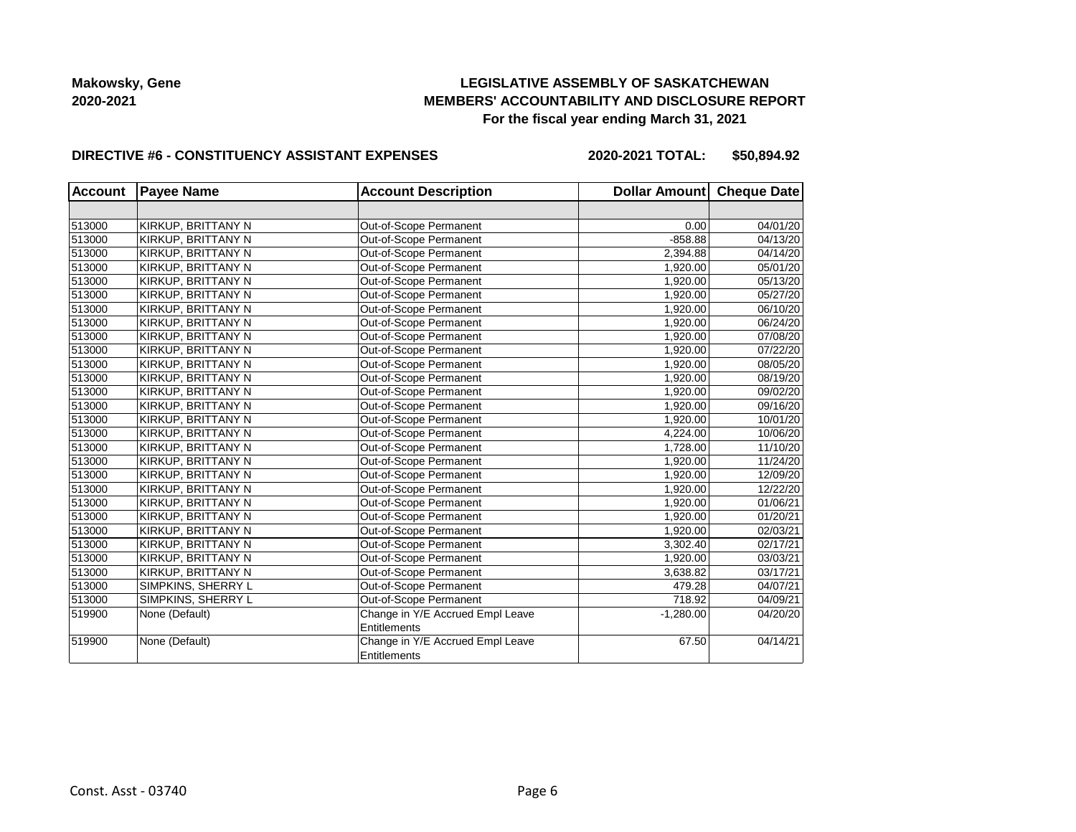## **LEGISLATIVE ASSEMBLY OF SASKATCHEWAN MEMBERS' ACCOUNTABILITY AND DISCLOSURE REPORT For the fiscal year ending March 31, 2021**

#### **DIRECTIVE #6 - CONSTITUENCY ASSISTANT EXPENSES**

**2020-2021 TOTAL: \$50,894.92**

| <b>Account</b> | <b>Payee Name</b><br><b>Account Description</b> |                                  | Dollar Amount Cheque Date |          |  |
|----------------|-------------------------------------------------|----------------------------------|---------------------------|----------|--|
|                |                                                 |                                  |                           |          |  |
| 513000         | KIRKUP, BRITTANY N                              | Out-of-Scope Permanent           | 0.00                      | 04/01/20 |  |
| 513000         | KIRKUP, BRITTANY N                              | Out-of-Scope Permanent           | $-858.88$                 | 04/13/20 |  |
| 513000         | KIRKUP, BRITTANY N                              | Out-of-Scope Permanent           | 2,394.88                  | 04/14/20 |  |
| 513000         | KIRKUP, BRITTANY N                              | Out-of-Scope Permanent           | 1,920.00                  | 05/01/20 |  |
| 513000         | KIRKUP, BRITTANY N                              | Out-of-Scope Permanent           | 1,920.00                  | 05/13/20 |  |
| 513000         | KIRKUP, BRITTANY N                              | Out-of-Scope Permanent           | 1,920.00                  | 05/27/20 |  |
| 513000         | KIRKUP, BRITTANY N                              | Out-of-Scope Permanent           | 1,920.00                  | 06/10/20 |  |
| 513000         | KIRKUP, BRITTANY N                              | Out-of-Scope Permanent           | 1,920.00                  | 06/24/20 |  |
| 513000         | KIRKUP, BRITTANY N                              | Out-of-Scope Permanent           | 1,920.00                  | 07/08/20 |  |
| 513000         | KIRKUP, BRITTANY N                              | Out-of-Scope Permanent           | 1,920.00                  | 07/22/20 |  |
| 513000         | KIRKUP, BRITTANY N                              | Out-of-Scope Permanent           | 1,920.00                  | 08/05/20 |  |
| 513000         | KIRKUP, BRITTANY N                              | Out-of-Scope Permanent           | 1,920.00                  | 08/19/20 |  |
| 513000         | KIRKUP, BRITTANY N                              | Out-of-Scope Permanent           | 1,920.00                  | 09/02/20 |  |
| 513000         | KIRKUP, BRITTANY N                              | Out-of-Scope Permanent           | 1,920.00                  | 09/16/20 |  |
| 513000         | KIRKUP, BRITTANY N                              | Out-of-Scope Permanent           | 1,920.00                  | 10/01/20 |  |
| 513000         | KIRKUP, BRITTANY N                              | Out-of-Scope Permanent           | 4,224.00                  | 10/06/20 |  |
| 513000         | KIRKUP, BRITTANY N                              | Out-of-Scope Permanent           | 1,728.00                  | 11/10/20 |  |
| 513000         | KIRKUP, BRITTANY N                              | Out-of-Scope Permanent           | 1,920.00                  | 11/24/20 |  |
| 513000         | KIRKUP, BRITTANY N                              | Out-of-Scope Permanent           | 1,920.00                  | 12/09/20 |  |
| 513000         | KIRKUP, BRITTANY N                              | Out-of-Scope Permanent           | 1,920.00                  | 12/22/20 |  |
| 513000         | KIRKUP, BRITTANY N                              | Out-of-Scope Permanent           | 1,920.00                  | 01/06/21 |  |
| 513000         | KIRKUP, BRITTANY N                              | Out-of-Scope Permanent           | 1,920.00                  | 01/20/21 |  |
| 513000         | KIRKUP, BRITTANY N                              | Out-of-Scope Permanent           | 1,920.00                  | 02/03/21 |  |
| 513000         | KIRKUP, BRITTANY N                              | Out-of-Scope Permanent           | 3,302.40                  | 02/17/21 |  |
| 513000         | KIRKUP, BRITTANY N                              | Out-of-Scope Permanent           | 1,920.00                  | 03/03/21 |  |
| 513000         | KIRKUP, BRITTANY N                              | Out-of-Scope Permanent           | 3,638.82                  | 03/17/21 |  |
| 513000         | SIMPKINS, SHERRY L                              | Out-of-Scope Permanent           | 479.28                    | 04/07/21 |  |
| 513000         | SIMPKINS, SHERRY L                              | Out-of-Scope Permanent           | 718.92                    | 04/09/21 |  |
| 519900         | None (Default)                                  | Change in Y/E Accrued Empl Leave | $-1,280.00$               | 04/20/20 |  |
|                |                                                 | <b>Entitlements</b>              |                           |          |  |
| 519900         | None (Default)                                  | Change in Y/E Accrued Empl Leave | 67.50                     | 04/14/21 |  |
|                |                                                 | Entitlements                     |                           |          |  |